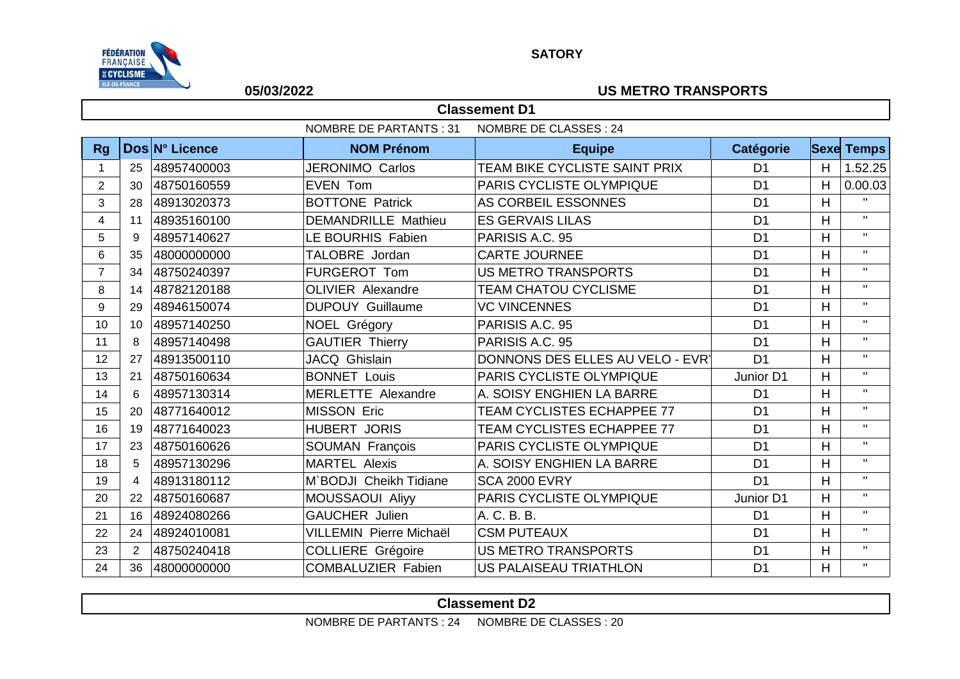

### **SATORY**

## **05/03/2022 US METRO TRANSPORTS**

|                         | <b>Classement D1</b>                                          |                |                                |                                   |                  |                |                   |  |  |
|-------------------------|---------------------------------------------------------------|----------------|--------------------------------|-----------------------------------|------------------|----------------|-------------------|--|--|
|                         | <b>NOMBRE DE PARTANTS: 31</b><br><b>NOMBRE DE CLASSES: 24</b> |                |                                |                                   |                  |                |                   |  |  |
| <b>Rg</b>               |                                                               | Dos N° Licence | <b>NOM Prénom</b>              | <b>Equipe</b>                     | <b>Catégorie</b> |                | <b>Sexe Temps</b> |  |  |
| 1                       | 25                                                            | 48957400003    | <b>JERONIMO Carlos</b>         | TEAM BIKE CYCLISTE SAINT PRIX     | D <sub>1</sub>   | H              | 1.52.25           |  |  |
| $\overline{2}$          | 30                                                            | 48750160559    | <b>EVEN Tom</b>                | <b>PARIS CYCLISTE OLYMPIQUE</b>   | D <sub>1</sub>   | H              | 0.00.03           |  |  |
| 3                       | 28                                                            | 48913020373    | <b>BOTTONE Patrick</b>         | AS CORBEIL ESSONNES               | D <sub>1</sub>   | H              | $\mathbf{H}$      |  |  |
| $\overline{\mathbf{4}}$ | 11                                                            | 48935160100    | <b>DEMANDRILLE Mathieu</b>     | <b>ES GERVAIS LILAS</b>           | D <sub>1</sub>   | H              | $\mathbf{H}$      |  |  |
| 5                       | 9                                                             | 48957140627    | <b>LE BOURHIS Fabien</b>       | PARISIS A.C. 95                   | D <sub>1</sub>   | H              | $\mathbf{H}$      |  |  |
| 6                       | 35                                                            | 48000000000    | <b>TALOBRE</b> Jordan          | <b>CARTE JOURNEE</b>              | D <sub>1</sub>   | H              | $\mathbf{H}$      |  |  |
| $\overline{7}$          | 34                                                            | 48750240397    | <b>FURGEROT Tom</b>            | <b>US METRO TRANSPORTS</b>        | D <sub>1</sub>   | H              | $\mathbf{H}$      |  |  |
| 8                       | 14                                                            | 48782120188    | <b>OLIVIER Alexandre</b>       | <b>TEAM CHATOU CYCLISME</b>       | D <sub>1</sub>   | H              | $\mathbf{H}$      |  |  |
| 9                       | 29                                                            | 48946150074    | <b>DUPOUY Guillaume</b>        | <b>VC VINCENNES</b>               | D <sub>1</sub>   | H              | $\mathbf{H}$      |  |  |
| 10                      | 10                                                            | 48957140250    | NOEL Grégory                   | PARISIS A.C. 95                   | D <sub>1</sub>   | H              | $\mathbf{H}$      |  |  |
| 11                      | 8                                                             | 48957140498    | <b>GAUTIER Thierry</b>         | PARISIS A.C. 95                   | D <sub>1</sub>   | H              | $\mathbf{H}$      |  |  |
| 12                      | 27                                                            | 48913500110    | JACQ Ghislain                  | DONNONS DES ELLES AU VELO - EVR   | D <sub>1</sub>   | H              | $\mathbf{H}$      |  |  |
| 13                      | 21                                                            | 48750160634    | <b>BONNET Louis</b>            | <b>PARIS CYCLISTE OLYMPIQUE</b>   | Junior D1        | H              | $\mathbf{H}$      |  |  |
| 14                      | 6                                                             | 48957130314    | MERLETTE Alexandre             | A. SOISY ENGHIEN LA BARRE         | D <sub>1</sub>   | H              | $\mathbf{H}$      |  |  |
| 15                      | 20                                                            | 48771640012    | <b>MISSON Eric</b>             | TEAM CYCLISTES ECHAPPEE 77        | D <sub>1</sub>   | H              | $\mathbf{H}$      |  |  |
| 16                      | 19                                                            | 48771640023    | <b>HUBERT JORIS</b>            | <b>TEAM CYCLISTES ECHAPPEE 77</b> | D <sub>1</sub>   | H              | $\mathbf{H}$      |  |  |
| 17                      | 23                                                            | 48750160626    | SOUMAN François                | PARIS CYCLISTE OLYMPIQUE          | D <sub>1</sub>   | $\overline{H}$ | $\mathbf{H}$      |  |  |
| 18                      | 5                                                             | 48957130296    | <b>MARTEL Alexis</b>           | A. SOISY ENGHIEN LA BARRE         | D <sub>1</sub>   | H              | $\mathbf{H}$      |  |  |
| 19                      | 4                                                             | 48913180112    | M`BODJI Cheikh Tidiane         | <b>SCA 2000 EVRY</b>              | D <sub>1</sub>   | H              | $\mathbf{H}$      |  |  |
| 20                      | 22                                                            | 48750160687    | <b>MOUSSAOUI Aliyy</b>         | PARIS CYCLISTE OLYMPIQUE          | Junior D1        | H              | $\mathbf{H}$      |  |  |
| 21                      | 16                                                            | 48924080266    | <b>GAUCHER Julien</b>          | A. C. B. B.                       | D <sub>1</sub>   | H              | $\mathbf{H}$      |  |  |
| 22                      | 24                                                            | 48924010081    | <b>VILLEMIN Pierre Michaël</b> | <b>CSM PUTEAUX</b>                | D <sub>1</sub>   | H              | $\mathbf{H}$      |  |  |
| 23                      | $\overline{2}$                                                | 48750240418    | <b>COLLIERE Grégoire</b>       | <b>US METRO TRANSPORTS</b>        | D <sub>1</sub>   | $\mathsf{H}$   | $\mathbf{H}$      |  |  |
| 24                      | 36                                                            | 48000000000    | <b>COMBALUZIER Fabien</b>      | US PALAISEAU TRIATHLON            | D <sub>1</sub>   | H              | $\mathbf{H}$      |  |  |

# **Classement D2**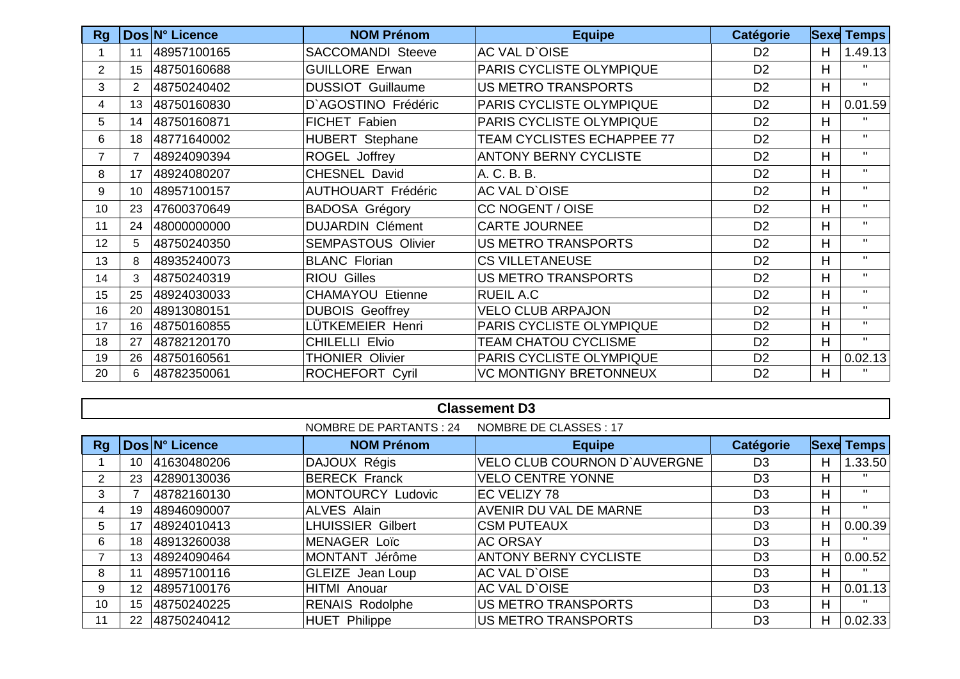| <b>Rg</b>      |                | Dos N° Licence | <b>NOM Prénom</b>         | <b>Equipe</b>                     | <b>Catégorie</b> | <b>Sexe</b> | <b>Temps</b>   |
|----------------|----------------|----------------|---------------------------|-----------------------------------|------------------|-------------|----------------|
|                | 11             | 48957100165    | <b>SACCOMANDI Steeve</b>  | <b>AC VAL D'OISE</b>              | D <sub>2</sub>   | H           | 1.49.13        |
| $\overline{2}$ | 15             | 48750160688    | <b>GUILLORE Erwan</b>     | PARIS CYCLISTE OLYMPIQUE          | D <sub>2</sub>   | H           | $\mathbf{H}$   |
| 3              | $\overline{2}$ | 48750240402    | <b>DUSSIOT Guillaume</b>  | US METRO TRANSPORTS               | D <sub>2</sub>   | H           | $\mathbf{H}$   |
| 4              | 13             | 48750160830    | D'AGOSTINO Frédéric       | PARIS CYCLISTE OLYMPIQUE          | D <sub>2</sub>   | H           | 0.01.59        |
| 5              | 14             | 48750160871    | FICHET Fabien             | PARIS CYCLISTE OLYMPIQUE          | D <sub>2</sub>   | H           | $\mathbf{H}$   |
| 6              | 18             | 48771640002    | <b>HUBERT Stephane</b>    | <b>TEAM CYCLISTES ECHAPPEE 77</b> | D <sub>2</sub>   | H           | $\blacksquare$ |
| $\overline{7}$ | 7              | 48924090394    | ROGEL Joffrey             | <b>ANTONY BERNY CYCLISTE</b>      | D <sub>2</sub>   | H           | $\mathbf{H}$   |
| 8              | 17             | 48924080207    | CHESNEL David             | A. C. B. B.                       | D <sub>2</sub>   | H           | $\mathbf{H}$   |
| 9              | 10             | 48957100157    | <b>AUTHOUART Frédéric</b> | <b>AC VAL D'OISE</b>              | D <sub>2</sub>   | H           | $\mathbf{H}$   |
| 10             | 23             | 47600370649    | <b>BADOSA Grégory</b>     | <b>CC NOGENT / OISE</b>           | D <sub>2</sub>   | H           | $\mathbf{H}$   |
| 11             | 24             | 48000000000    | <b>DUJARDIN Clément</b>   | <b>CARTE JOURNEE</b>              | D <sub>2</sub>   | Н           | $\mathbf{H}$   |
| 12             | 5              | 48750240350    | <b>SEMPASTOUS Olivier</b> | US METRO TRANSPORTS               | D <sub>2</sub>   | H           | $\mathbf{H}$   |
| 13             | 8              | 48935240073    | <b>BLANC Florian</b>      | <b>CS VILLETANEUSE</b>            | D <sub>2</sub>   | H           | $\mathbf{H}$   |
| 14             | 3              | 48750240319    | <b>RIOU Gilles</b>        | US METRO TRANSPORTS               | D <sub>2</sub>   | H           | $\mathbf{H}$   |
| 15             | 25             | 48924030033    | <b>CHAMAYOU Etienne</b>   | <b>RUEIL A.C.</b>                 | D <sub>2</sub>   | H           | $\blacksquare$ |
| 16             | 20             | 48913080151    | <b>DUBOIS Geoffrey</b>    | <b>VELO CLUB ARPAJON</b>          | D <sub>2</sub>   | H           | $\mathbf{H}$   |
| 17             | 16             | 48750160855    | LÜTKEMEIER Henri          | PARIS CYCLISTE OLYMPIQUE          | D <sub>2</sub>   | H           | $\mathbf{H}$   |
| 18             | 27             | 48782120170    | <b>CHILELLI Elvio</b>     | <b>TEAM CHATOU CYCLISME</b>       | D <sub>2</sub>   | H           | $\mathbf{H}$   |
| 19             | 26             | 48750160561    | <b>THONIER Olivier</b>    | PARIS CYCLISTE OLYMPIQUE          | D <sub>2</sub>   | H           | 0.02.13        |
| 20             | 6              | 48782350061    | ROCHEFORT Cyril           | <b>VC MONTIGNY BRETONNEUX</b>     | D <sub>2</sub>   | H           | $\blacksquare$ |

|    |                 |                | <b>NOMBRE DE PARTANTS: 24</b> | NOMBRE DE CLASSES : 17        |                  |   |                   |
|----|-----------------|----------------|-------------------------------|-------------------------------|------------------|---|-------------------|
| Rg |                 | Dos N° Licence | <b>NOM Prénom</b>             | <b>Equipe</b>                 | <b>Catégorie</b> |   | <b>Sexe Temps</b> |
|    | 10              | 41630480206    | DAJOUX Régis                  | VELO CLUB COURNON D'AUVERGNE  | D <sub>3</sub>   | Н | 1.33.50           |
| 2  | 23              | 42890130036    | <b>BERECK Franck</b>          | <b>VELO CENTRE YONNE</b>      | D <sub>3</sub>   | н | $\mathbf{H}$      |
| 3  |                 | 48782160130    | MONTOURCY Ludovic             | EC VELIZY 78                  | D <sub>3</sub>   | H | $\blacksquare$    |
| 4  | 19              | 48946090007    | <b>ALVES Alain</b>            | <b>AVENIR DU VAL DE MARNE</b> | D <sub>3</sub>   | н | $\mathbf{H}$      |
| 5  | 17              | 48924010413    | LHUISSIER Gilbert             | <b>CSM PUTEAUX</b>            | D <sub>3</sub>   | Н | 0.00.39           |
| 6  | 18              | 48913260038    | <b>MENAGER Loïc</b>           | <b>AC ORSAY</b>               | D <sub>3</sub>   | н | Π.                |
|    | 13              | 48924090464    | MONTANT Jérôme                | <b>ANTONY BERNY CYCLISTE</b>  | D <sub>3</sub>   | H | 0.00.52           |
| 8  | 11              | 48957100116    | <b>GLEIZE</b> Jean Loup       | <b>AC VAL D'OISE</b>          | D <sub>3</sub>   | H | $\mathbf{H}$      |
| 9  | 12 <sup>2</sup> | 48957100176    | HITMI Anouar                  | <b>AC VAL D'OISE</b>          | D <sub>3</sub>   | H | 0.01.13           |
| 10 | 15              | 48750240225    | <b>RENAIS Rodolphe</b>        | <b>US METRO TRANSPORTS</b>    | D <sub>3</sub>   | н | $\mathbf{H}$      |
| 11 | 22              | 48750240412    | <b>HUET Philippe</b>          | US METRO TRANSPORTS           | D <sub>3</sub>   | H | 0.02.33           |